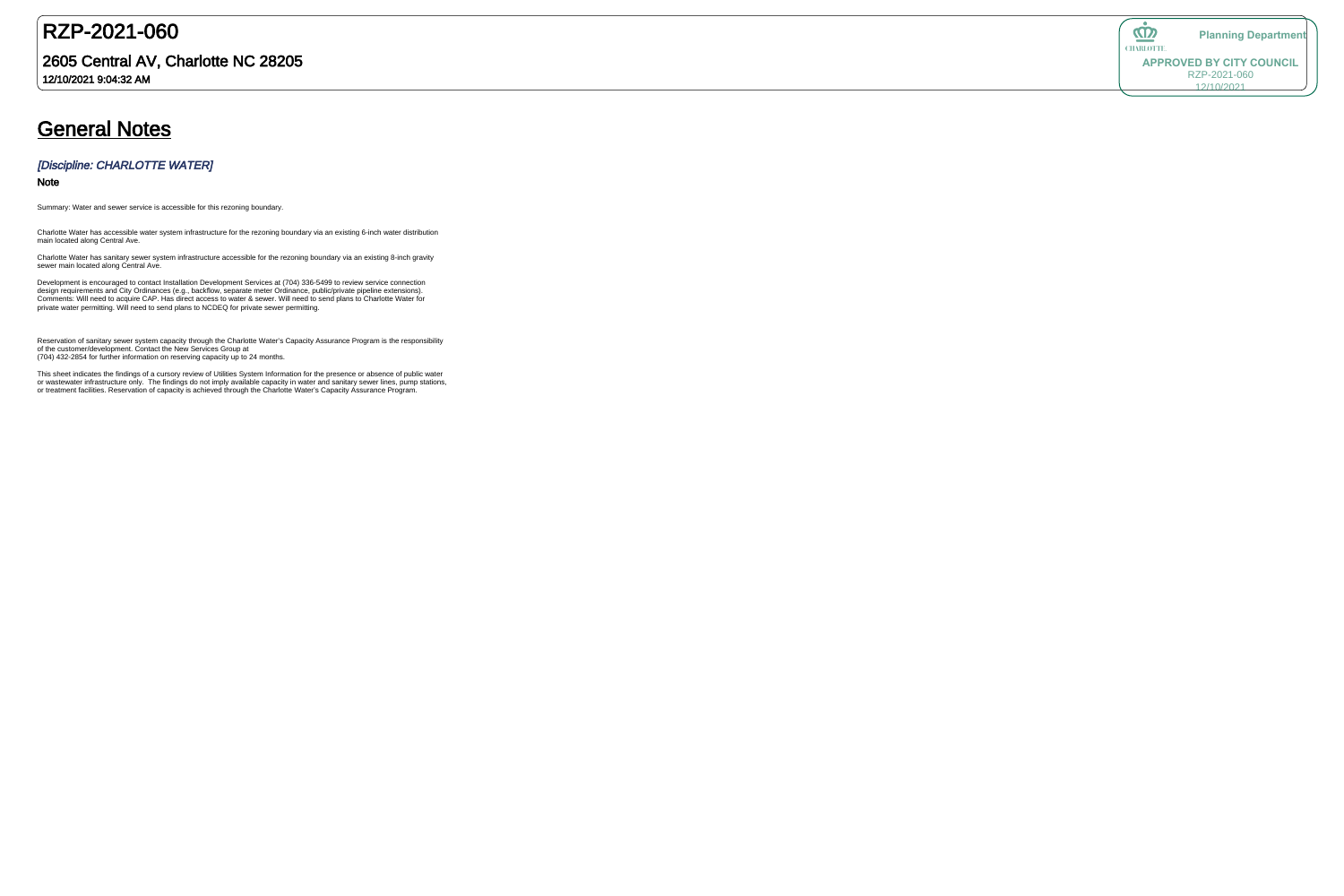## RZP-2021-060

### 2605 Central AV, Charlotte NC 28205

12/10/2021 9:04:32 AM

# **General Notes**

#### [Discipline: CHARLOTTE WATER]

#### Note

Summary: Water and sewer service is accessible for this rezoning boundary.

Charlotte Water has sanitary sewer system infrastructure accessible for the rezoning boundary via an existing 8-inch gravity sewer main located along Central Ave.

Charlotte Water has accessible water system infrastructure for the rezoning boundary via an existing 6-inch water distribution main located along Central Ave.

Development is encouraged to contact Installation Development Services at (704) 336-5499 to review service connection design requirements and City Ordinances (e.g., backflow, separate meter Ordinance, public/private pipeline extensions). Comments: Will need to acquire CAP. Has direct access to water & sewer. Will need to send plans to Charlotte Water for private water permitting. Will need to send plans to NCDEQ for private sewer permitting.

Reservation of sanitary sewer system capacity through the Charlotte Water's Capacity Assurance Program is the responsibility of the customer/development. Contact the New Services Group at (704) 432-2854 for further information on reserving capacity up to 24 months.

This sheet indicates the findings of a cursory review of Utilities System Information for the presence or absence of public water or wastewater infrastructure only. The findings do not imply available capacity in water and sanitary sewer lines, pump stations, or treatment facilities. Reservation of capacity is achieved through the Charlotte Water's Capacity Assurance Program.